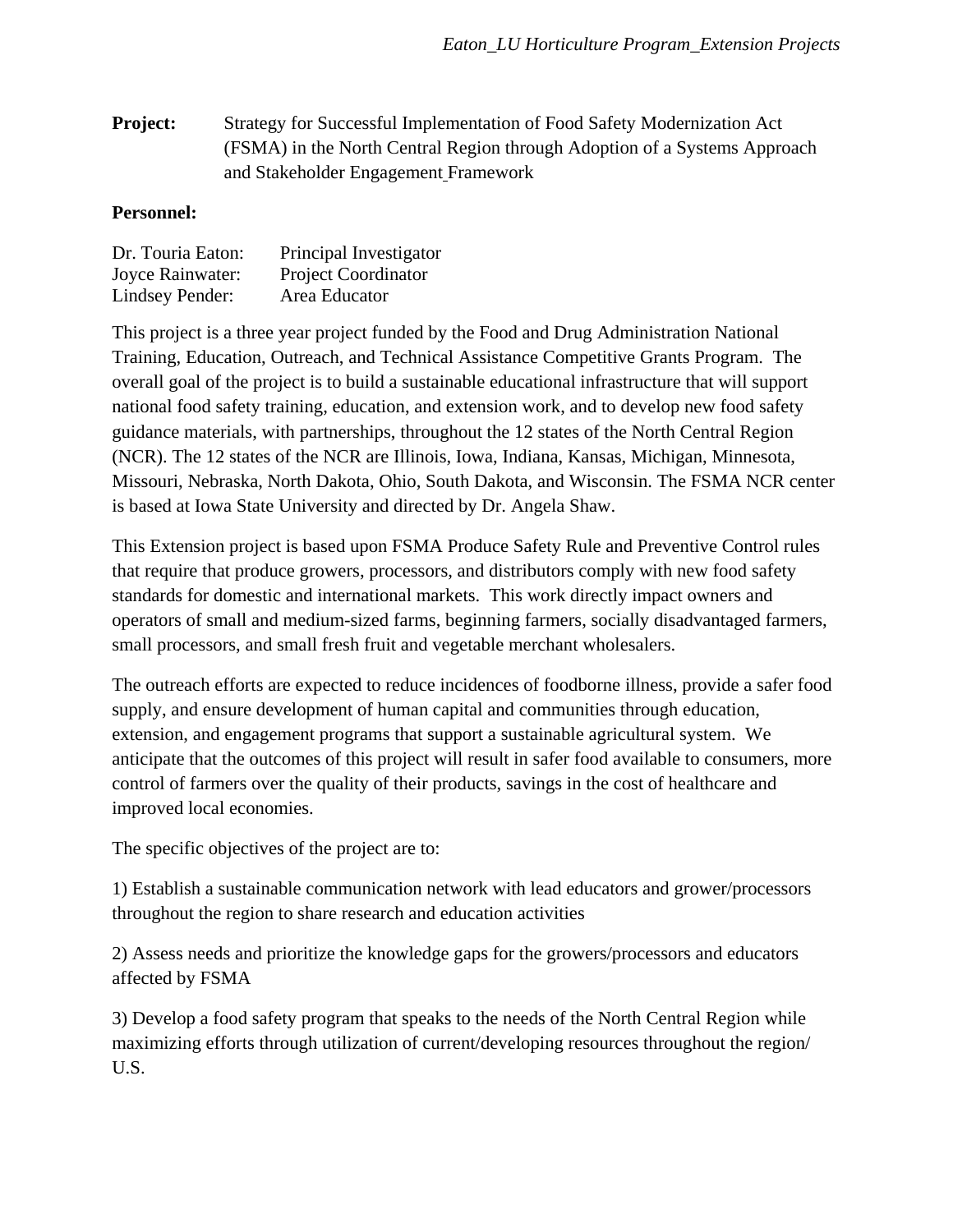**Project:** Strategy for Successful Implementation of Food Safety Modernization Act (FSMA) in the North Central Region through Adoption of a Systems Approach and Stakeholder Engagement Framework

## **Personnel:**

| Dr. Touria Eaton: | Principal Investigator     |
|-------------------|----------------------------|
| Joyce Rainwater:  | <b>Project Coordinator</b> |
| Lindsey Pender:   | Area Educator              |

This project is a three year project funded by the Food and Drug Administration National Training, Education, Outreach, and Technical Assistance Competitive Grants Program. The overall goal of the project is to build a sustainable educational infrastructure that will support national food safety training, education, and extension work, and to develop new food safety guidance materials, with partnerships, throughout the 12 states of the North Central Region (NCR). The 12 states of the NCR are Illinois, Iowa, Indiana, Kansas, Michigan, Minnesota, Missouri, Nebraska, North Dakota, Ohio, South Dakota, and Wisconsin. The FSMA NCR center is based at Iowa State University and directed by Dr. Angela Shaw.

This Extension project is based upon FSMA Produce Safety Rule and Preventive Control rules that require that produce growers, processors, and distributors comply with new food safety standards for domestic and international markets. This work directly impact owners and operators of small and medium-sized farms, beginning farmers, socially disadvantaged farmers, small processors, and small fresh fruit and vegetable merchant wholesalers.

The outreach efforts are expected to reduce incidences of foodborne illness, provide a safer food supply, and ensure development of human capital and communities through education, extension, and engagement programs that support a sustainable agricultural system. We anticipate that the outcomes of this project will result in safer food available to consumers, more control of farmers over the quality of their products, savings in the cost of healthcare and improved local economies.

The specific objectives of the project are to:

1) Establish a sustainable communication network with lead educators and grower/processors throughout the region to share research and education activities

2) Assess needs and prioritize the knowledge gaps for the growers/processors and educators affected by FSMA

3) Develop a food safety program that speaks to the needs of the North Central Region while maximizing efforts through utilization of current/developing resources throughout the region/ U.S.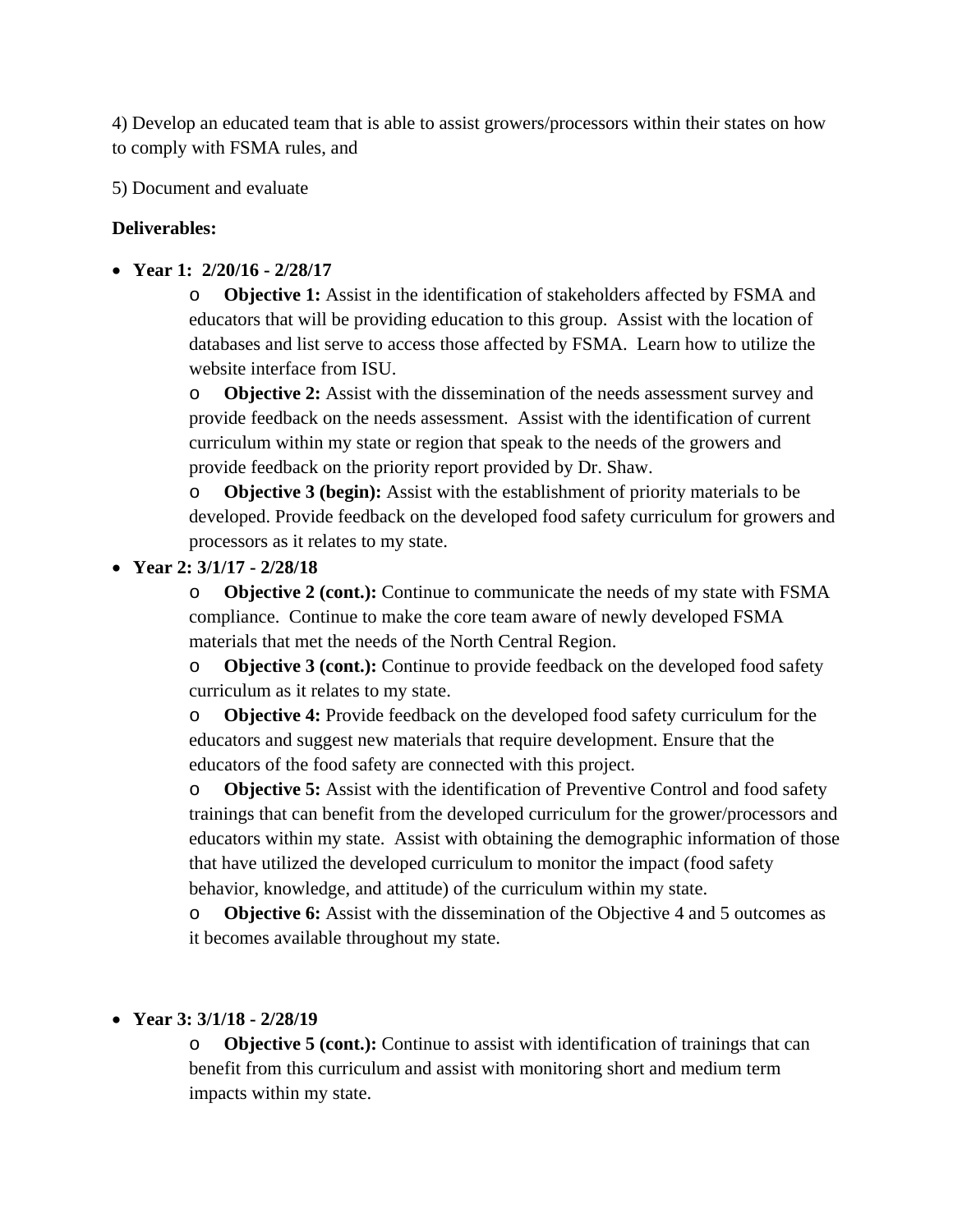4) Develop an educated team that is able to assist growers/processors within their states on how to comply with FSMA rules, and

5) Document and evaluate

## **Deliverables:**

**Year 1: 2/20/16 - 2/28/17** 

o **Objective 1:** Assist in the identification of stakeholders affected by FSMA and educators that will be providing education to this group. Assist with the location of databases and list serve to access those affected by FSMA. Learn how to utilize the website interface from ISU.

o **Objective 2:** Assist with the dissemination of the needs assessment survey and provide feedback on the needs assessment.Assist with the identification of current curriculum within my state or region that speak to the needs of the growers and provide feedback on the priority report provided by Dr. Shaw.

o **Objective 3 (begin):** Assist with the establishment of priority materials to be developed. Provide feedback on the developed food safety curriculum for growers and processors as it relates to my state.

## **Year 2: 3/1/17 - 2/28/18**

o **Objective 2 (cont.):** Continue to communicate the needs of my state with FSMA compliance.Continue to make the core team aware of newly developed FSMA materials that met the needs of the North Central Region.

o **Objective 3 (cont.):** Continue to provide feedback on the developed food safety curriculum as it relates to my state.

o **Objective 4:** Provide feedback on the developed food safety curriculum for the educators and suggest new materials that require development. Ensure that the educators of the food safety are connected with this project.

o **Objective 5:** Assist with the identification of Preventive Control and food safety trainings that can benefit from the developed curriculum for the grower/processors and educators within my state. Assist with obtaining the demographic information of those that have utilized the developed curriculum to monitor the impact (food safety behavior, knowledge, and attitude) of the curriculum within my state.

o **Objective 6:** Assist with the dissemination of the Objective 4 and 5 outcomes as it becomes available throughout my state.

## **Year 3: 3/1/18 - 2/28/19**

o **Objective 5 (cont.):** Continue to assist with identification of trainings that can benefit from this curriculum and assist with monitoring short and medium term impacts within my state.